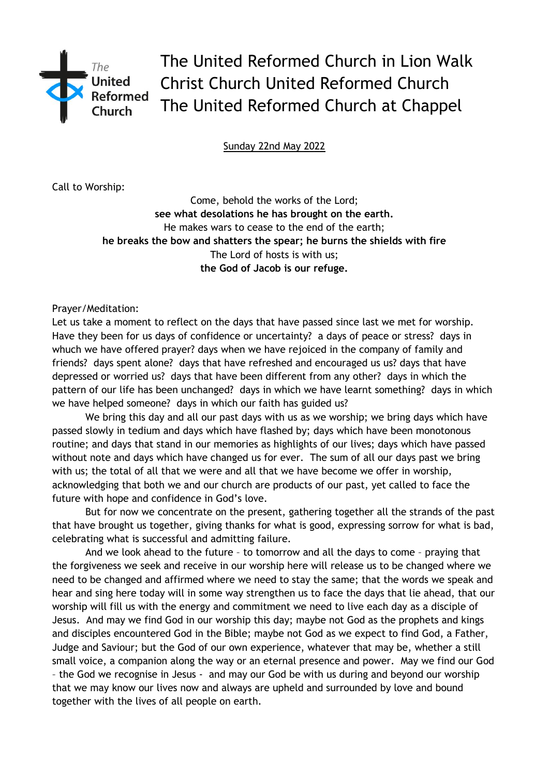

The United Reformed Church in Lion Walk Christ Church United Reformed Church The United Reformed Church at Chappel

Sunday 22nd May 2022

Call to Worship:

Come, behold the works of the Lord; **see what desolations he has brought on the earth.** He makes wars to cease to the end of the earth; **he breaks the bow and shatters the spear; he burns the shields with fire** The Lord of hosts is with us; **the God of Jacob is our refuge.**

Prayer/Meditation:

Let us take a moment to reflect on the days that have passed since last we met for worship. Have they been for us days of confidence or uncertainty? a days of peace or stress? days in whuch we have offered prayer? days when we have rejoiced in the company of family and friends? days spent alone? days that have refreshed and encouraged us us? days that have depressed or worried us? days that have been different from any other? days in which the pattern of our life has been unchanged? days in which we have learnt something? days in which we have helped someone? days in which our faith has guided us?

We bring this day and all our past days with us as we worship; we bring days which have passed slowly in tedium and days which have flashed by; days which have been monotonous routine; and days that stand in our memories as highlights of our lives; days which have passed without note and days which have changed us for ever. The sum of all our days past we bring with us; the total of all that we were and all that we have become we offer in worship, acknowledging that both we and our church are products of our past, yet called to face the future with hope and confidence in God's love.

But for now we concentrate on the present, gathering together all the strands of the past that have brought us together, giving thanks for what is good, expressing sorrow for what is bad, celebrating what is successful and admitting failure.

And we look ahead to the future – to tomorrow and all the days to come – praying that the forgiveness we seek and receive in our worship here will release us to be changed where we need to be changed and affirmed where we need to stay the same; that the words we speak and hear and sing here today will in some way strengthen us to face the days that lie ahead, that our worship will fill us with the energy and commitment we need to live each day as a disciple of Jesus. And may we find God in our worship this day; maybe not God as the prophets and kings and disciples encountered God in the Bible; maybe not God as we expect to find God, a Father, Judge and Saviour; but the God of our own experience, whatever that may be, whether a still small voice, a companion along the way or an eternal presence and power. May we find our God – the God we recognise in Jesus - and may our God be with us during and beyond our worship that we may know our lives now and always are upheld and surrounded by love and bound together with the lives of all people on earth.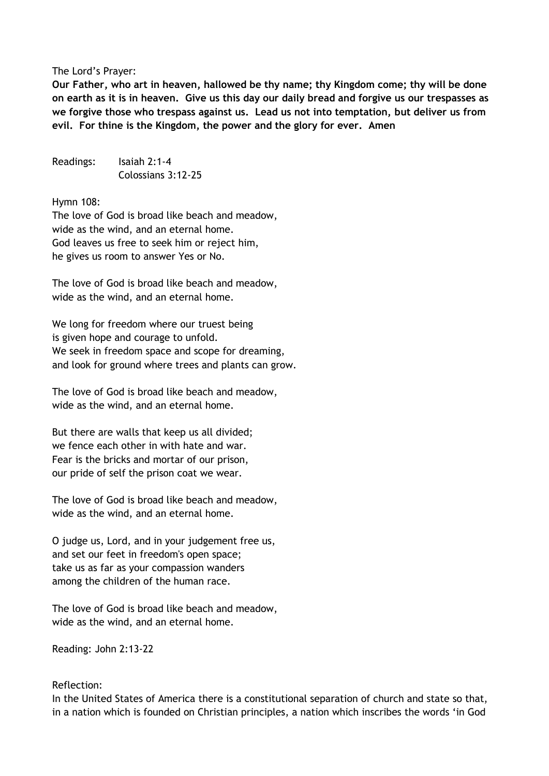## The Lord's Prayer:

**Our Father, who art in heaven, hallowed be thy name; thy Kingdom come; thy will be done on earth as it is in heaven. Give us this day our daily bread and forgive us our trespasses as we forgive those who trespass against us. Lead us not into temptation, but deliver us from evil. For thine is the Kingdom, the power and the glory for ever. Amen** 

Readings: Isaiah 2:1-4 Colossians 3:12-25

Hymn 108:

The love of God is broad like beach and meadow, wide as the wind, and an eternal home. God leaves us free to seek him or reject him, he gives us room to answer Yes or No.

The love of God is broad like beach and meadow, wide as the wind, and an eternal home.

We long for freedom where our truest being is given hope and courage to unfold. We seek in freedom space and scope for dreaming, and look for ground where trees and plants can grow.

The love of God is broad like beach and meadow, wide as the wind, and an eternal home.

But there are walls that keep us all divided; we fence each other in with hate and war. Fear is the bricks and mortar of our prison, our pride of self the prison coat we wear.

The love of God is broad like beach and meadow, wide as the wind, and an eternal home.

O judge us, Lord, and in your judgement free us, and set our feet in freedom's open space; take us as far as your compassion wanders among the children of the human race.

The love of God is broad like beach and meadow, wide as the wind, and an eternal home.

Reading: John 2:13-22

## Reflection:

In the United States of America there is a constitutional separation of church and state so that, in a nation which is founded on Christian principles, a nation which inscribes the words 'in God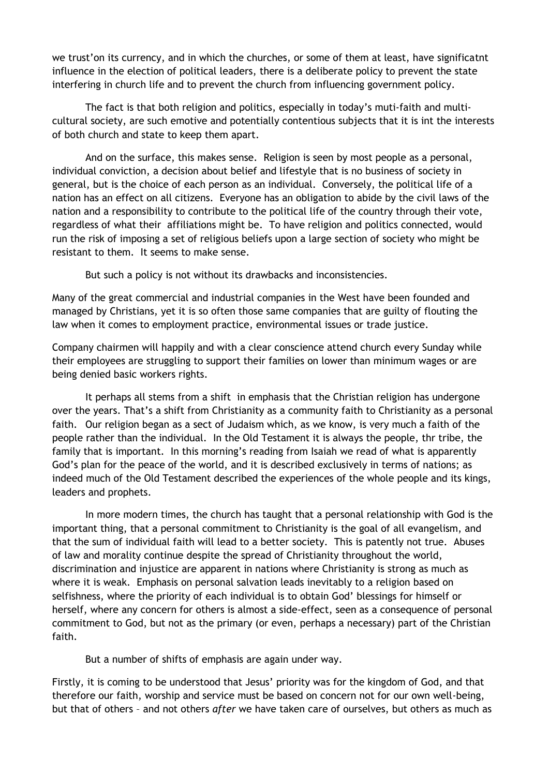we trust'on its currency, and in which the churches, or some of them at least, have significatnt influence in the election of political leaders, there is a deliberate policy to prevent the state interfering in church life and to prevent the church from influencing government policy.

The fact is that both religion and politics, especially in today's muti-faith and multicultural society, are such emotive and potentially contentious subjects that it is int the interests of both church and state to keep them apart.

And on the surface, this makes sense. Religion is seen by most people as a personal, individual conviction, a decision about belief and lifestyle that is no business of society in general, but is the choice of each person as an individual. Conversely, the political life of a nation has an effect on all citizens. Everyone has an obligation to abide by the civil laws of the nation and a responsibility to contribute to the political life of the country through their vote, regardless of what their affiliations might be. To have religion and politics connected, would run the risk of imposing a set of religious beliefs upon a large section of society who might be resistant to them. It seems to make sense.

But such a policy is not without its drawbacks and inconsistencies.

Many of the great commercial and industrial companies in the West have been founded and managed by Christians, yet it is so often those same companies that are guilty of flouting the law when it comes to employment practice, environmental issues or trade justice.

Company chairmen will happily and with a clear conscience attend church every Sunday while their employees are struggling to support their families on lower than minimum wages or are being denied basic workers rights.

It perhaps all stems from a shift in emphasis that the Christian religion has undergone over the years. That's a shift from Christianity as a community faith to Christianity as a personal faith. Our religion began as a sect of Judaism which, as we know, is very much a faith of the people rather than the individual. In the Old Testament it is always the people, thr tribe, the family that is important. In this morning's reading from Isaiah we read of what is apparently God's plan for the peace of the world, and it is described exclusively in terms of nations; as indeed much of the Old Testament described the experiences of the whole people and its kings, leaders and prophets.

In more modern times, the church has taught that a personal relationship with God is the important thing, that a personal commitment to Christianity is the goal of all evangelism, and that the sum of individual faith will lead to a better society. This is patently not true. Abuses of law and morality continue despite the spread of Christianity throughout the world, discrimination and injustice are apparent in nations where Christianity is strong as much as where it is weak. Emphasis on personal salvation leads inevitably to a religion based on selfishness, where the priority of each individual is to obtain God' blessings for himself or herself, where any concern for others is almost a side-effect, seen as a consequence of personal commitment to God, but not as the primary (or even, perhaps a necessary) part of the Christian faith.

But a number of shifts of emphasis are again under way.

Firstly, it is coming to be understood that Jesus' priority was for the kingdom of God, and that therefore our faith, worship and service must be based on concern not for our own well-being, but that of others – and not others *after* we have taken care of ourselves, but others as much as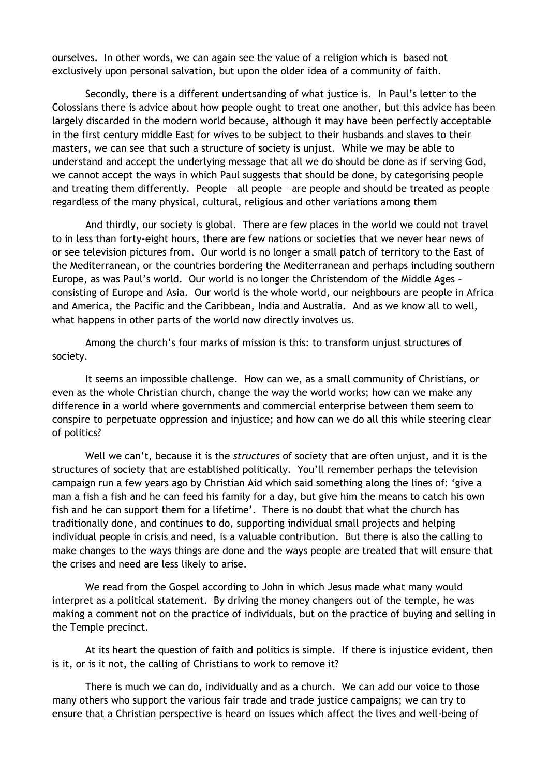ourselves. In other words, we can again see the value of a religion which is based not exclusively upon personal salvation, but upon the older idea of a community of faith.

Secondly, there is a different undertsanding of what justice is. In Paul's letter to the Colossians there is advice about how people ought to treat one another, but this advice has been largely discarded in the modern world because, although it may have been perfectly acceptable in the first century middle East for wives to be subject to their husbands and slaves to their masters, we can see that such a structure of society is unjust. While we may be able to understand and accept the underlying message that all we do should be done as if serving God, we cannot accept the ways in which Paul suggests that should be done, by categorising people and treating them differently. People – all people – are people and should be treated as people regardless of the many physical, cultural, religious and other variations among them

And thirdly, our society is global. There are few places in the world we could not travel to in less than forty-eight hours, there are few nations or societies that we never hear news of or see television pictures from. Our world is no longer a small patch of territory to the East of the Mediterranean, or the countries bordering the Mediterranean and perhaps including southern Europe, as was Paul's world. Our world is no longer the Christendom of the Middle Ages – consisting of Europe and Asia. Our world is the whole world, our neighbours are people in Africa and America, the Pacific and the Caribbean, India and Australia. And as we know all to well, what happens in other parts of the world now directly involves us.

Among the church's four marks of mission is this: to transform unjust structures of society.

It seems an impossible challenge. How can we, as a small community of Christians, or even as the whole Christian church, change the way the world works; how can we make any difference in a world where governments and commercial enterprise between them seem to conspire to perpetuate oppression and injustice; and how can we do all this while steering clear of politics?

Well we can't, because it is the *structures* of society that are often unjust, and it is the structures of society that are established politically. You'll remember perhaps the television campaign run a few years ago by Christian Aid which said something along the lines of: 'give a man a fish a fish and he can feed his family for a day, but give him the means to catch his own fish and he can support them for a lifetime'. There is no doubt that what the church has traditionally done, and continues to do, supporting individual small projects and helping individual people in crisis and need, is a valuable contribution. But there is also the calling to make changes to the ways things are done and the ways people are treated that will ensure that the crises and need are less likely to arise.

We read from the Gospel according to John in which Jesus made what many would interpret as a political statement. By driving the money changers out of the temple, he was making a comment not on the practice of individuals, but on the practice of buying and selling in the Temple precinct.

At its heart the question of faith and politics is simple. If there is injustice evident, then is it, or is it not, the calling of Christians to work to remove it?

There is much we can do, individually and as a church. We can add our voice to those many others who support the various fair trade and trade justice campaigns; we can try to ensure that a Christian perspective is heard on issues which affect the lives and well-being of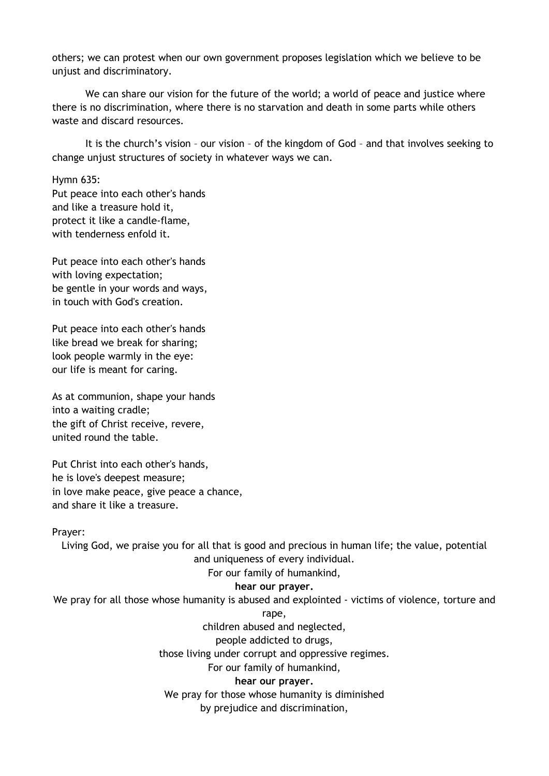others; we can protest when our own government proposes legislation which we believe to be unjust and discriminatory.

We can share our vision for the future of the world; a world of peace and justice where there is no discrimination, where there is no starvation and death in some parts while others waste and discard resources.

It is the church's vision – our vision – of the kingdom of God – and that involves seeking to change unjust structures of society in whatever ways we can.

Hymn 635:

Put peace into each other's hands and like a treasure hold it, protect it like a candle-flame, with tenderness enfold it.

Put peace into each other's hands with loving expectation; be gentle in your words and ways, in touch with God's creation.

Put peace into each other's hands like bread we break for sharing; look people warmly in the eye: our life is meant for caring.

As at communion, shape your hands into a waiting cradle; the gift of Christ receive, revere, united round the table.

Put Christ into each other's hands, he is love's deepest measure; in love make peace, give peace a chance, and share it like a treasure.

Prayer:

Living God, we praise you for all that is good and precious in human life; the value, potential and uniqueness of every individual.

## For our family of humankind,

## **hear our prayer.**

We pray for all those whose humanity is abused and explointed - victims of violence, torture and

rape,

children abused and neglected,

people addicted to drugs,

those living under corrupt and oppressive regimes.

For our family of humankind,

**hear our prayer.**

We pray for those whose humanity is diminished by prejudice and discrimination,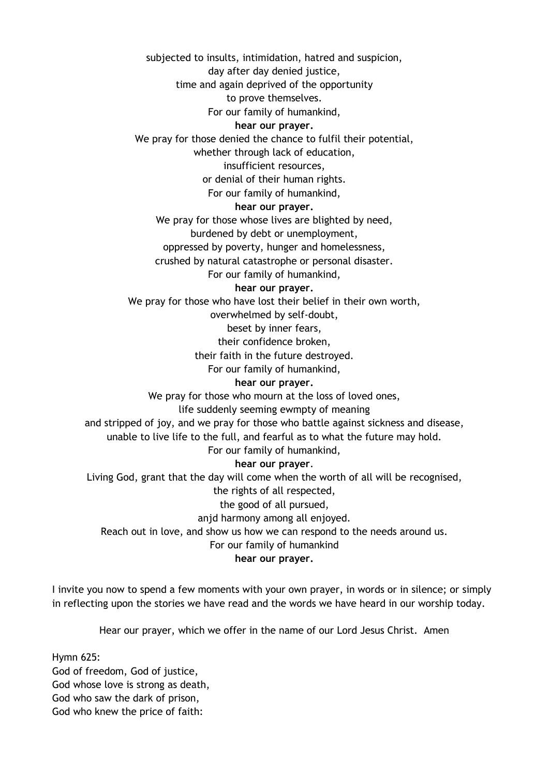subjected to insults, intimidation, hatred and suspicion, day after day denied justice, time and again deprived of the opportunity to prove themselves. For our family of humankind, **hear our prayer.** We pray for those denied the chance to fulfil their potential, whether through lack of education, insufficient resources, or denial of their human rights. For our family of humankind, **hear our prayer.** We pray for those whose lives are blighted by need, burdened by debt or unemployment, oppressed by poverty, hunger and homelessness, crushed by natural catastrophe or personal disaster. For our family of humankind, **hear our prayer.** We pray for those who have lost their belief in their own worth, overwhelmed by self-doubt, beset by inner fears, their confidence broken, their faith in the future destroyed. For our family of humankind, **hear our prayer.** We pray for those who mourn at the loss of loved ones, life suddenly seeming ewmpty of meaning and stripped of joy, and we pray for those who battle against sickness and disease, unable to live life to the full, and fearful as to what the future may hold. For our family of humankind, **hear our prayer**. Living God, grant that the day will come when the worth of all will be recognised, the rights of all respected, the good of all pursued, anjd harmony among all enjoyed. Reach out in love, and show us how we can respond to the needs around us. For our family of humankind **hear our prayer.**

I invite you now to spend a few moments with your own prayer, in words or in silence; or simply in reflecting upon the stories we have read and the words we have heard in our worship today.

Hear our prayer, which we offer in the name of our Lord Jesus Christ. Amen

Hymn 625: God of freedom, God of justice, God whose love is strong as death, God who saw the dark of prison, God who knew the price of faith: